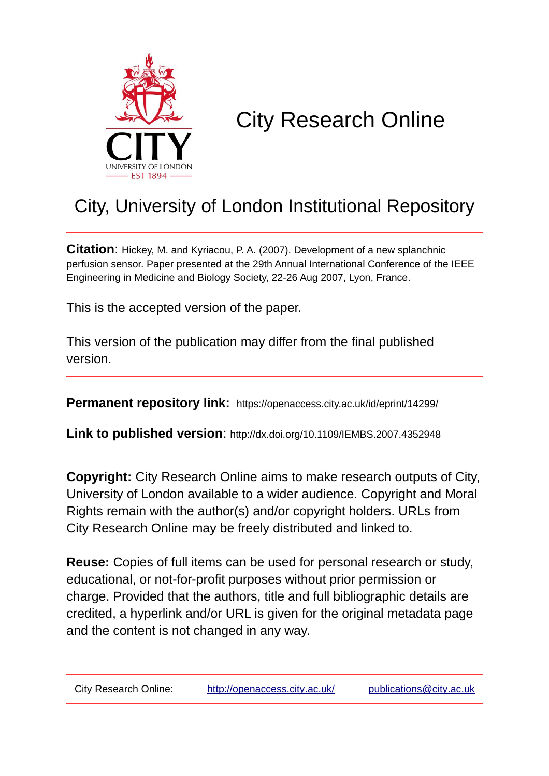

# City Research Online

## City, University of London Institutional Repository

**Citation**: Hickey, M. and Kyriacou, P. A. (2007). Development of a new splanchnic perfusion sensor. Paper presented at the 29th Annual International Conference of the IEEE Engineering in Medicine and Biology Society, 22-26 Aug 2007, Lyon, France.

This is the accepted version of the paper.

This version of the publication may differ from the final published version.

**Permanent repository link:** https://openaccess.city.ac.uk/id/eprint/14299/

**Link to published version**: http://dx.doi.org/10.1109/IEMBS.2007.4352948

**Copyright:** City Research Online aims to make research outputs of City, University of London available to a wider audience. Copyright and Moral Rights remain with the author(s) and/or copyright holders. URLs from City Research Online may be freely distributed and linked to.

**Reuse:** Copies of full items can be used for personal research or study, educational, or not-for-profit purposes without prior permission or charge. Provided that the authors, title and full bibliographic details are credited, a hyperlink and/or URL is given for the original metadata page and the content is not changed in any way.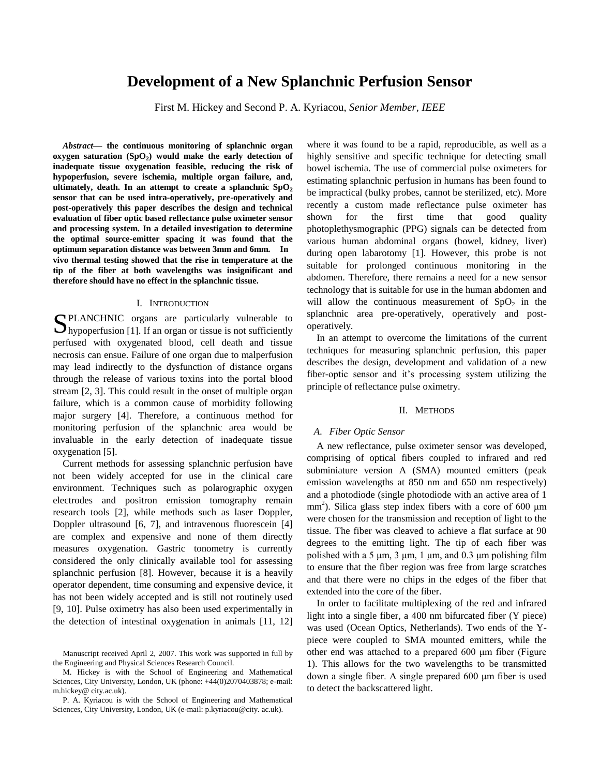### **Development of a New Splanchnic Perfusion Sensor**

First M. Hickey and Second P. A. Kyriacou, *Senior Member, IEEE*

*Abstract***— the continuous monitoring of splanchnic organ oxygen saturation (SpO<sup>2</sup> ) would make the early detection of inadequate tissue oxygenation feasible, reducing the risk of hypoperfusion, severe ischemia, multiple organ failure, and, ultimately, death. In an attempt to create a splanchnic SpO<sup>2</sup> sensor that can be used intra-operatively, pre-operatively and post-operatively this paper describes the design and technical evaluation of fiber optic based reflectance pulse oximeter sensor and processing system. In a detailed investigation to determine the optimal source-emitter spacing it was found that the optimum separation distance was between 3mm and 6mm. In vivo thermal testing showed that the rise in temperature at the tip of the fiber at both wavelengths was insignificant and therefore should have no effect in the splanchnic tissue.**

#### I. INTRODUCTION

SPLANCHNIC organs are particularly vulnerable to hypoperfusion [1]. If an organ or tissue is not sufficiently  $\mathbf{D}_{\text{hypoperfusion}}$  [1]. If an organ or tissue is not sufficiently perfused with oxygenated blood, cell death and tissue necrosis can ensue. Failure of one organ due to malperfusion may lead indirectly to the dysfunction of distance organs through the release of various toxins into the portal blood stream [2, 3]. This could result in the onset of multiple organ failure, which is a common cause of morbidity following major surgery [4]. Therefore, a continuous method for monitoring perfusion of the splanchnic area would be invaluable in the early detection of inadequate tissue oxygenation [5].

Current methods for assessing splanchnic perfusion have not been widely accepted for use in the clinical care environment. Techniques such as polarographic oxygen electrodes and positron emission tomography remain research tools [2], while methods such as laser Doppler, Doppler ultrasound [6, 7], and intravenous fluorescein [4] are complex and expensive and none of them directly measures oxygenation. Gastric tonometry is currently considered the only clinically available tool for assessing splanchnic perfusion [8]. However, because it is a heavily operator dependent, time consuming and expensive device, it has not been widely accepted and is still not routinely used [9, 10]. Pulse oximetry has also been used experimentally in the detection of intestinal oxygenation in animals [11, 12]

where it was found to be a rapid, reproducible, as well as a highly sensitive and specific technique for detecting small bowel ischemia. The use of commercial pulse oximeters for estimating splanchnic perfusion in humans has been found to be impractical (bulky probes, cannot be sterilized, etc). More recently a custom made reflectance pulse oximeter has shown for the first time that good quality photoplethysmographic (PPG) signals can be detected from various human abdominal organs (bowel, kidney, liver) during open labarotomy [1]. However, this probe is not suitable for prolonged continuous monitoring in the abdomen. Therefore, there remains a need for a new sensor technology that is suitable for use in the human abdomen and will allow the continuous measurement of  $SpO<sub>2</sub>$  in the splanchnic area pre-operatively, operatively and postoperatively.

In an attempt to overcome the limitations of the current techniques for measuring splanchnic perfusion, this paper describes the design, development and validation of a new fiber-optic sensor and it's processing system utilizing the principle of reflectance pulse oximetry.

#### II. METHODS

#### *A. Fiber Optic Sensor*

A new reflectance, pulse oximeter sensor was developed, comprising of optical fibers coupled to infrared and red subminiature version A (SMA) mounted emitters (peak emission wavelengths at 850 nm and 650 nm respectively) and a photodiode (single photodiode with an active area of 1  $mm<sup>2</sup>$ ). Silica glass step index fibers with a core of 600  $\mu$ m were chosen for the transmission and reception of light to the tissue. The fiber was cleaved to achieve a flat surface at 90 degrees to the emitting light. The tip of each fiber was polished with a 5  $\mu$ m, 3  $\mu$ m, 1  $\mu$ m, and 0.3  $\mu$ m polishing film to ensure that the fiber region was free from large scratches and that there were no chips in the edges of the fiber that extended into the core of the fiber.

In order to facilitate multiplexing of the red and infrared light into a single fiber, a 400 nm bifurcated fiber (Y piece) was used (Ocean Optics, Netherlands). Two ends of the Ypiece were coupled to SMA mounted emitters, while the other end was attached to a prepared 600 μm fiber (Figure 1). This allows for the two wavelengths to be transmitted down a single fiber. A single prepared 600 μm fiber is used to detect the backscattered light.

Manuscript received April 2, 2007. This work was supported in full by the Engineering and Physical Sciences Research Council.

M. Hickey is with the School of Engineering and Mathematical Sciences, City University, London, UK (phone: +44(0)2070403878; e-mail: m.hickey@ city.ac.uk).

P. A. Kyriacou is with the School of Engineering and Mathematical Sciences, City University, London, UK (e-mail: p.kyriacou@city. ac.uk).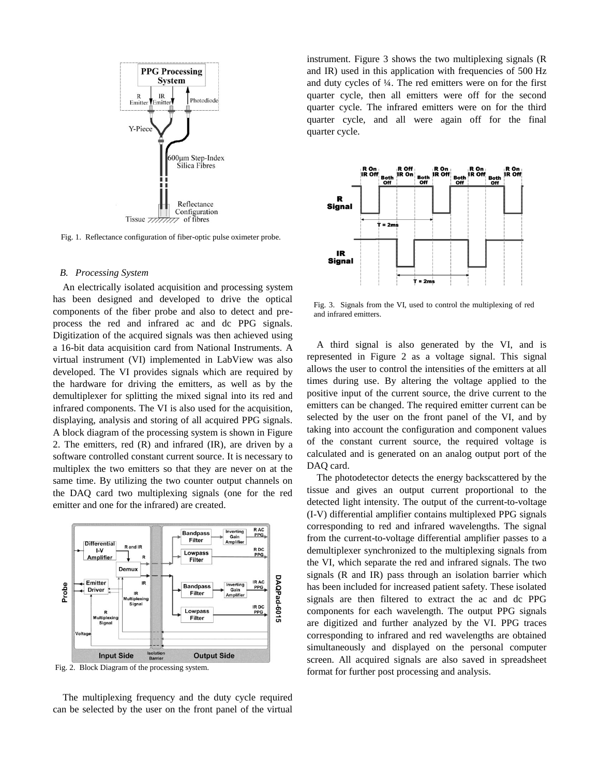

Fig. 1. Reflectance configuration of fiber-optic pulse oximeter probe.

#### *B. Processing System*

An electrically isolated acquisition and processing system has been designed and developed to drive the optical components of the fiber probe and also to detect and preprocess the red and infrared ac and dc PPG signals. Digitization of the acquired signals was then achieved using a 16-bit data acquisition card from National Instruments. A virtual instrument (VI) implemented in LabView was also developed. The VI provides signals which are required by the hardware for driving the emitters, as well as by the demultiplexer for splitting the mixed signal into its red and infrared components. The VI is also used for the acquisition, displaying, analysis and storing of all acquired PPG signals. A block diagram of the processing system is shown in Figure 2. The emitters, red (R) and infrared (IR), are driven by a software controlled constant current source. It is necessary to multiplex the two emitters so that they are never on at the same time. By utilizing the two counter output channels on the DAQ card two multiplexing signals (one for the red emitter and one for the infrared) are created.



Fig. 2. Block Diagram of the processing system.

The multiplexing frequency and the duty cycle required can be selected by the user on the front panel of the virtual instrument. Figure 3 shows the two multiplexing signals (R and IR) used in this application with frequencies of 500 Hz and duty cycles of ¼. The red emitters were on for the first quarter cycle, then all emitters were off for the second quarter cycle. The infrared emitters were on for the third quarter cycle, and all were again off for the final quarter cycle.



Fig. 3. Signals from the VI, used to control the multiplexing of red and infrared emitters.

A third signal is also generated by the VI, and is represented in Figure 2 as a voltage signal. This signal allows the user to control the intensities of the emitters at all times during use. By altering the voltage applied to the positive input of the current source, the drive current to the emitters can be changed. The required emitter current can be selected by the user on the front panel of the VI, and by taking into account the configuration and component values of the constant current source, the required voltage is calculated and is generated on an analog output port of the DAQ card.

The photodetector detects the energy backscattered by the tissue and gives an output current proportional to the detected light intensity. The output of the current-to-voltage (I-V) differential amplifier contains multiplexed PPG signals corresponding to red and infrared wavelengths. The signal from the current-to-voltage differential amplifier passes to a demultiplexer synchronized to the multiplexing signals from the VI, which separate the red and infrared signals. The two signals (R and IR) pass through an isolation barrier which has been included for increased patient safety. These isolated signals are then filtered to extract the ac and dc PPG components for each wavelength. The output PPG signals are digitized and further analyzed by the VI. PPG traces corresponding to infrared and red wavelengths are obtained simultaneously and displayed on the personal computer screen. All acquired signals are also saved in spreadsheet format for further post processing and analysis.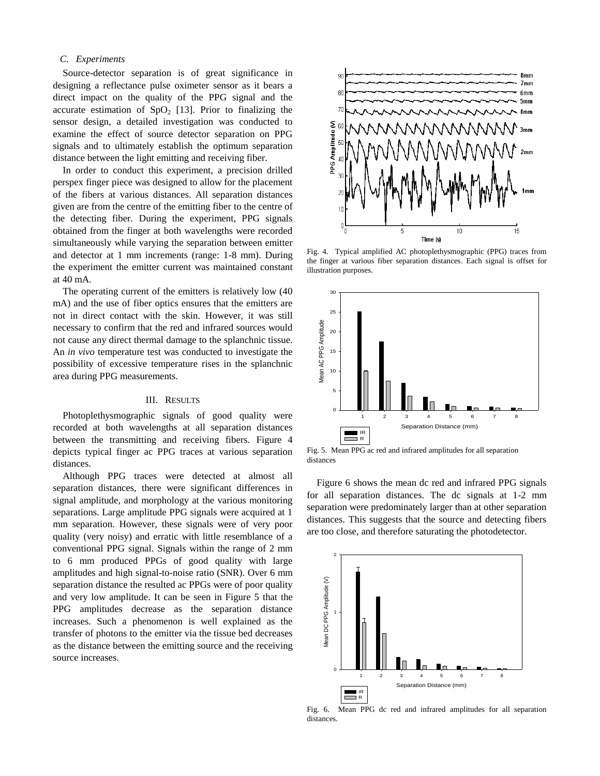#### *C. Experiments*

Source-detector separation is of great significance in designing a reflectance pulse oximeter sensor as it bears a direct impact on the quality of the PPG signal and the accurate estimation of  $SpO<sub>2</sub>$  [13]. Prior to finalizing the sensor design, a detailed investigation was conducted to examine the effect of source detector separation on PPG signals and to ultimately establish the optimum separation distance between the light emitting and receiving fiber.

In order to conduct this experiment, a precision drilled perspex finger piece was designed to allow for the placement of the fibers at various distances. All separation distances given are from the centre of the emitting fiber to the centre of the detecting fiber. During the experiment, PPG signals obtained from the finger at both wavelengths were recorded simultaneously while varying the separation between emitter and detector at 1 mm increments (range: 1-8 mm). During the experiment the emitter current was maintained constant at 40 mA.

The operating current of the emitters is relatively low (40 mA) and the use of fiber optics ensures that the emitters are not in direct contact with the skin. However, it was still necessary to confirm that the red and infrared sources would not cause any direct thermal damage to the splanchnic tissue. An *in vivo* temperature test was conducted to investigate the possibility of excessive temperature rises in the splanchnic area during PPG measurements.

#### III. RESULTS

Photoplethysmographic signals of good quality were recorded at both wavelengths at all separation distances between the transmitting and receiving fibers. Figure 4 depicts typical finger ac PPG traces at various separation distances.

Although PPG traces were detected at almost all separation distances, there were significant differences in signal amplitude, and morphology at the various monitoring separations. Large amplitude PPG signals were acquired at 1 mm separation. However, these signals were of very poor quality (very noisy) and erratic with little resemblance of a conventional PPG signal. Signals within the range of 2 mm to 6 mm produced PPGs of good quality with large amplitudes and high signal-to-noise ratio (SNR). Over 6 mm separation distance the resulted ac PPGs were of poor quality and very low amplitude. It can be seen in Figure 5 that the PPG amplitudes decrease as the separation distance increases. Such a phenomenon is well explained as the transfer of photons to the emitter via the tissue bed decreases as the distance between the emitting source and the receiving source increases.



Fig. 4. Typical amplified AC photoplethysmographic (PPG) traces from the finger at various fiber separation distances. Each signal is offset for illustration purposes.



Fig. 5. Mean PPG ac red and infrared amplitudes for all separation distances

Figure 6 shows the mean dc red and infrared PPG signals for all separation distances. The dc signals at 1-2 mm separation were predominately larger than at other separation distances. This suggests that the source and detecting fibers are too close, and therefore saturating the photodetector.



Fig. 6. Mean PPG dc red and infrared amplitudes for all separation distances.